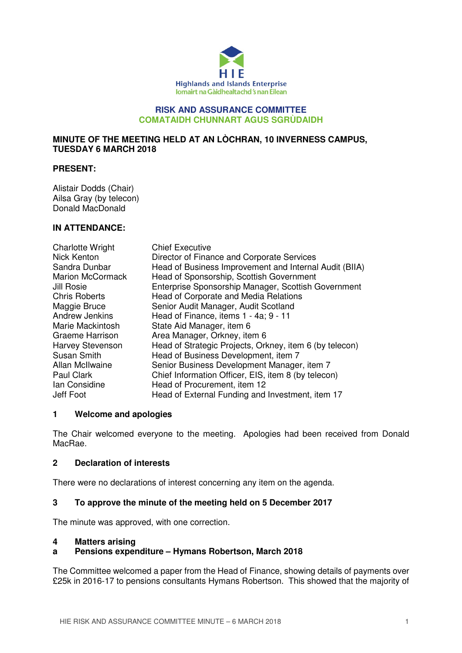

#### **RISK AND ASSURANCE COMMITTEE COMATAIDH CHUNNART AGUS SGRÙDAIDH**

## **MINUTE OF THE MEETING HELD AT AN LÒCHRAN, 10 INVERNESS CAMPUS, TUESDAY 6 MARCH 2018**

#### **PRESENT:**

Alistair Dodds (Chair) Ailsa Gray (by telecon) Donald MacDonald

#### **IN ATTENDANCE:**

| <b>Charlotte Wright</b> | <b>Chief Executive</b>                                  |
|-------------------------|---------------------------------------------------------|
| Nick Kenton             | Director of Finance and Corporate Services              |
| Sandra Dunbar           | Head of Business Improvement and Internal Audit (BIIA)  |
| <b>Marion McCormack</b> | Head of Sponsorship, Scottish Government                |
| Jill Rosie              | Enterprise Sponsorship Manager, Scottish Government     |
| <b>Chris Roberts</b>    | Head of Corporate and Media Relations                   |
| Maggie Bruce            | Senior Audit Manager, Audit Scotland                    |
| <b>Andrew Jenkins</b>   | Head of Finance, items 1 - 4a; 9 - 11                   |
| Marie Mackintosh        | State Aid Manager, item 6                               |
| Graeme Harrison         | Area Manager, Orkney, item 6                            |
| Harvey Stevenson        | Head of Strategic Projects, Orkney, item 6 (by telecon) |
| <b>Susan Smith</b>      | Head of Business Development, item 7                    |
| Allan McIlwaine         | Senior Business Development Manager, item 7             |
| Paul Clark              | Chief Information Officer, EIS, item 8 (by telecon)     |
| Ian Considine           | Head of Procurement, item 12                            |
| Jeff Foot               | Head of External Funding and Investment, item 17        |

### **1 Welcome and apologies**

The Chair welcomed everyone to the meeting. Apologies had been received from Donald MacRae.

### **2 Declaration of interests**

There were no declarations of interest concerning any item on the agenda.

### **3 To approve the minute of the meeting held on 5 December 2017**

The minute was approved, with one correction.

#### **4 Matters arising**

### **a Pensions expenditure – Hymans Robertson, March 2018**

The Committee welcomed a paper from the Head of Finance, showing details of payments over £25k in 2016-17 to pensions consultants Hymans Robertson. This showed that the majority of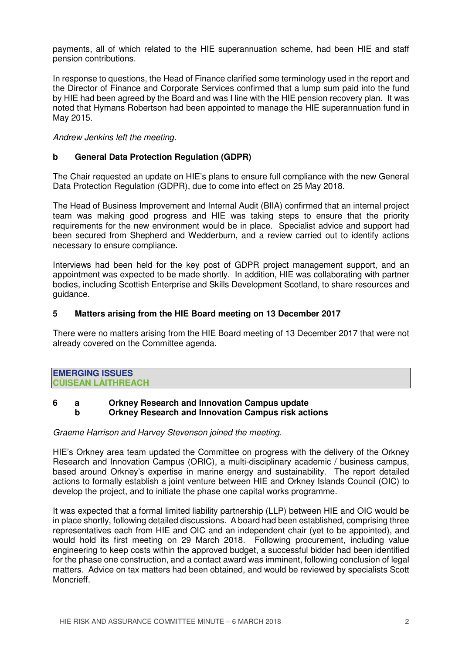payments, all of which related to the HIE superannuation scheme, had been HIE and staff pension contributions.

In response to questions, the Head of Finance clarified some terminology used in the report and the Director of Finance and Corporate Services confirmed that a lump sum paid into the fund by HIE had been agreed by the Board and was I line with the HIE pension recovery plan. It was noted that Hymans Robertson had been appointed to manage the HIE superannuation fund in May 2015.

Andrew Jenkins left the meeting.

## **b General Data Protection Regulation (GDPR)**

The Chair requested an update on HIE's plans to ensure full compliance with the new General Data Protection Regulation (GDPR), due to come into effect on 25 May 2018.

The Head of Business Improvement and Internal Audit (BIIA) confirmed that an internal project team was making good progress and HIE was taking steps to ensure that the priority requirements for the new environment would be in place. Specialist advice and support had been secured from Shepherd and Wedderburn, and a review carried out to identify actions necessary to ensure compliance.

Interviews had been held for the key post of GDPR project management support, and an appointment was expected to be made shortly. In addition, HIE was collaborating with partner bodies, including Scottish Enterprise and Skills Development Scotland, to share resources and guidance.

### **5 Matters arising from the HIE Board meeting on 13 December 2017**

There were no matters arising from the HIE Board meeting of 13 December 2017 that were not already covered on the Committee agenda.

| <b>EMERGING ISSUES</b>    |  |
|---------------------------|--|
| <b>CUISEAN LAITHREACH</b> |  |

## **6 a Orkney Research and Innovation Campus update b Orkney Research and Innovation Campus risk actions**

#### Graeme Harrison and Harvey Stevenson joined the meeting.

HIE's Orkney area team updated the Committee on progress with the delivery of the Orkney Research and Innovation Campus (ORIC), a multi-disciplinary academic / business campus. based around Orkney's expertise in marine energy and sustainability. The report detailed actions to formally establish a joint venture between HIE and Orkney Islands Council (OIC) to develop the project, and to initiate the phase one capital works programme.

It was expected that a formal limited liability partnership (LLP) between HIE and OIC would be in place shortly, following detailed discussions. A board had been established, comprising three representatives each from HIE and OIC and an independent chair (yet to be appointed), and would hold its first meeting on 29 March 2018. Following procurement, including value engineering to keep costs within the approved budget, a successful bidder had been identified for the phase one construction, and a contact award was imminent, following conclusion of legal matters. Advice on tax matters had been obtained, and would be reviewed by specialists Scott Moncrieff.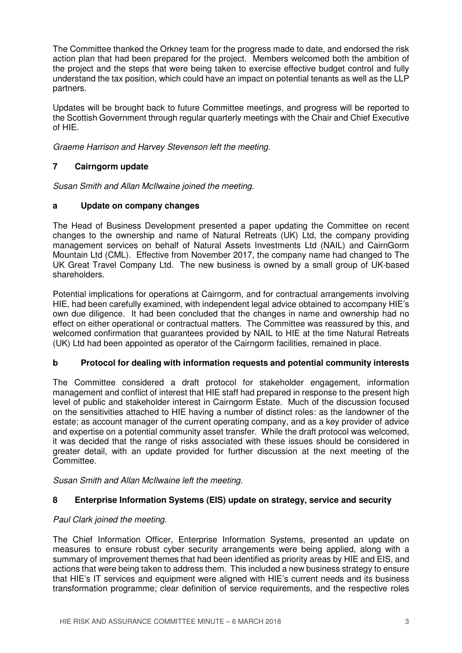The Committee thanked the Orkney team for the progress made to date, and endorsed the risk action plan that had been prepared for the project. Members welcomed both the ambition of the project and the steps that were being taken to exercise effective budget control and fully understand the tax position, which could have an impact on potential tenants as well as the LLP partners.

Updates will be brought back to future Committee meetings, and progress will be reported to the Scottish Government through regular quarterly meetings with the Chair and Chief Executive of HIE.

Graeme Harrison and Harvey Stevenson left the meeting.

# **7 Cairngorm update**

Susan Smith and Allan McIlwaine joined the meeting.

# **a Update on company changes**

The Head of Business Development presented a paper updating the Committee on recent changes to the ownership and name of Natural Retreats (UK) Ltd, the company providing management services on behalf of Natural Assets Investments Ltd (NAIL) and CairnGorm Mountain Ltd (CML). Effective from November 2017, the company name had changed to The UK Great Travel Company Ltd. The new business is owned by a small group of UK-based shareholders.

Potential implications for operations at Cairngorm, and for contractual arrangements involving HIE, had been carefully examined, with independent legal advice obtained to accompany HIE's own due diligence. It had been concluded that the changes in name and ownership had no effect on either operational or contractual matters. The Committee was reassured by this, and welcomed confirmation that guarantees provided by NAIL to HIE at the time Natural Retreats (UK) Ltd had been appointed as operator of the Cairngorm facilities, remained in place.

# **b Protocol for dealing with information requests and potential community interests**

The Committee considered a draft protocol for stakeholder engagement, information management and conflict of interest that HIE staff had prepared in response to the present high level of public and stakeholder interest in Cairngorm Estate. Much of the discussion focused on the sensitivities attached to HIE having a number of distinct roles: as the landowner of the estate; as account manager of the current operating company, and as a key provider of advice and expertise on a potential community asset transfer. While the draft protocol was welcomed, it was decided that the range of risks associated with these issues should be considered in greater detail, with an update provided for further discussion at the next meeting of the Committee.

Susan Smith and Allan McIlwaine left the meeting.

# **8 Enterprise Information Systems (EIS) update on strategy, service and security**

# Paul Clark joined the meeting.

The Chief Information Officer, Enterprise Information Systems, presented an update on measures to ensure robust cyber security arrangements were being applied, along with a summary of improvement themes that had been identified as priority areas by HIE and EIS, and actions that were being taken to address them. This included a new business strategy to ensure that HIE's IT services and equipment were aligned with HIE's current needs and its business transformation programme; clear definition of service requirements, and the respective roles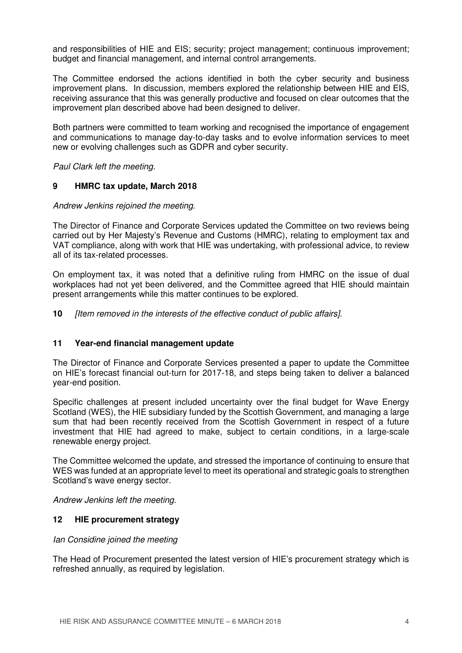and responsibilities of HIE and EIS; security; project management; continuous improvement; budget and financial management, and internal control arrangements.

The Committee endorsed the actions identified in both the cyber security and business improvement plans. In discussion, members explored the relationship between HIE and EIS, receiving assurance that this was generally productive and focused on clear outcomes that the improvement plan described above had been designed to deliver.

Both partners were committed to team working and recognised the importance of engagement and communications to manage day-to-day tasks and to evolve information services to meet new or evolving challenges such as GDPR and cyber security.

Paul Clark left the meeting.

### **9 HMRC tax update, March 2018**

Andrew Jenkins rejoined the meeting.

The Director of Finance and Corporate Services updated the Committee on two reviews being carried out by Her Majesty's Revenue and Customs (HMRC), relating to employment tax and VAT compliance, along with work that HIE was undertaking, with professional advice, to review all of its tax-related processes.

On employment tax, it was noted that a definitive ruling from HMRC on the issue of dual workplaces had not yet been delivered, and the Committee agreed that HIE should maintain present arrangements while this matter continues to be explored.

**10** [Item removed in the interests of the effective conduct of public affairs].

### **11 Year-end financial management update**

The Director of Finance and Corporate Services presented a paper to update the Committee on HIE's forecast financial out-turn for 2017-18, and steps being taken to deliver a balanced year-end position.

Specific challenges at present included uncertainty over the final budget for Wave Energy Scotland (WES), the HIE subsidiary funded by the Scottish Government, and managing a large sum that had been recently received from the Scottish Government in respect of a future investment that HIE had agreed to make, subject to certain conditions, in a large-scale renewable energy project.

The Committee welcomed the update, and stressed the importance of continuing to ensure that WES was funded at an appropriate level to meet its operational and strategic goals to strengthen Scotland's wave energy sector.

Andrew Jenkins left the meeting.

### **12 HIE procurement strategy**

#### Ian Considine joined the meeting

The Head of Procurement presented the latest version of HIE's procurement strategy which is refreshed annually, as required by legislation.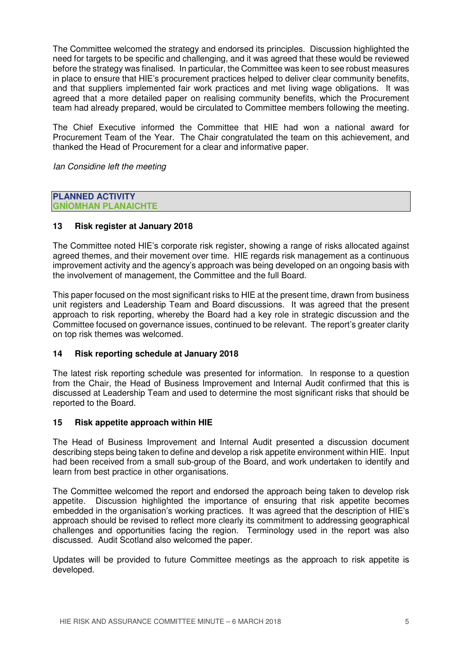The Committee welcomed the strategy and endorsed its principles. Discussion highlighted the need for targets to be specific and challenging, and it was agreed that these would be reviewed before the strategy was finalised. In particular, the Committee was keen to see robust measures in place to ensure that HIE's procurement practices helped to deliver clear community benefits, and that suppliers implemented fair work practices and met living wage obligations. It was agreed that a more detailed paper on realising community benefits, which the Procurement team had already prepared, would be circulated to Committee members following the meeting.

The Chief Executive informed the Committee that HIE had won a national award for Procurement Team of the Year. The Chair congratulated the team on this achievement, and thanked the Head of Procurement for a clear and informative paper.

Ian Considine left the meeting

#### **PLANNED ACTIVITY GNÌOMHAN PLANAICHTE**

## **13 Risk register at January 2018**

The Committee noted HIE's corporate risk register, showing a range of risks allocated against agreed themes, and their movement over time. HIE regards risk management as a continuous improvement activity and the agency's approach was being developed on an ongoing basis with the involvement of management, the Committee and the full Board.

This paper focused on the most significant risks to HIE at the present time, drawn from business unit registers and Leadership Team and Board discussions. It was agreed that the present approach to risk reporting, whereby the Board had a key role in strategic discussion and the Committee focused on governance issues, continued to be relevant. The report's greater clarity on top risk themes was welcomed.

### **14 Risk reporting schedule at January 2018**

The latest risk reporting schedule was presented for information. In response to a question from the Chair, the Head of Business Improvement and Internal Audit confirmed that this is discussed at Leadership Team and used to determine the most significant risks that should be reported to the Board.

### **15 Risk appetite approach within HIE**

The Head of Business Improvement and Internal Audit presented a discussion document describing steps being taken to define and develop a risk appetite environment within HIE. Input had been received from a small sub-group of the Board, and work undertaken to identify and learn from best practice in other organisations.

The Committee welcomed the report and endorsed the approach being taken to develop risk appetite. Discussion highlighted the importance of ensuring that risk appetite becomes embedded in the organisation's working practices. It was agreed that the description of HIE's approach should be revised to reflect more clearly its commitment to addressing geographical challenges and opportunities facing the region. Terminology used in the report was also discussed. Audit Scotland also welcomed the paper.

Updates will be provided to future Committee meetings as the approach to risk appetite is developed.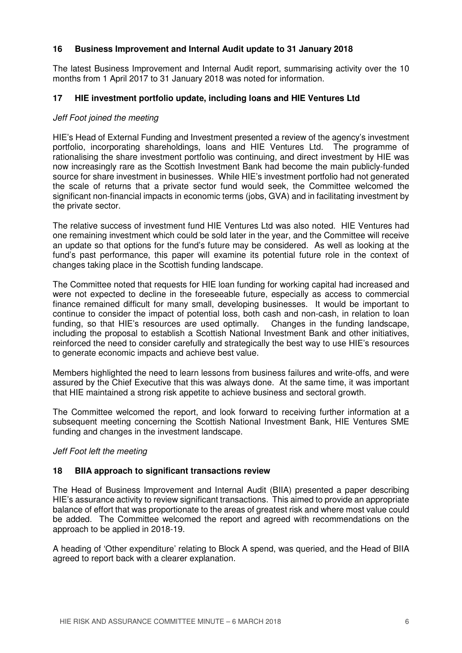## **16 Business Improvement and Internal Audit update to 31 January 2018**

The latest Business Improvement and Internal Audit report, summarising activity over the 10 months from 1 April 2017 to 31 January 2018 was noted for information.

## **17 HIE investment portfolio update, including loans and HIE Ventures Ltd**

### Jeff Foot joined the meeting

HIE's Head of External Funding and Investment presented a review of the agency's investment portfolio, incorporating shareholdings, loans and HIE Ventures Ltd. The programme of rationalising the share investment portfolio was continuing, and direct investment by HIE was now increasingly rare as the Scottish Investment Bank had become the main publicly-funded source for share investment in businesses. While HIE's investment portfolio had not generated the scale of returns that a private sector fund would seek, the Committee welcomed the significant non-financial impacts in economic terms (jobs, GVA) and in facilitating investment by the private sector.

The relative success of investment fund HIE Ventures Ltd was also noted. HIE Ventures had one remaining investment which could be sold later in the year, and the Committee will receive an update so that options for the fund's future may be considered. As well as looking at the fund's past performance, this paper will examine its potential future role in the context of changes taking place in the Scottish funding landscape.

The Committee noted that requests for HIE loan funding for working capital had increased and were not expected to decline in the foreseeable future, especially as access to commercial finance remained difficult for many small, developing businesses. It would be important to continue to consider the impact of potential loss, both cash and non-cash, in relation to loan funding, so that HIE's resources are used optimally. Changes in the funding landscape, including the proposal to establish a Scottish National Investment Bank and other initiatives, reinforced the need to consider carefully and strategically the best way to use HIE's resources to generate economic impacts and achieve best value.

Members highlighted the need to learn lessons from business failures and write-offs, and were assured by the Chief Executive that this was always done. At the same time, it was important that HIE maintained a strong risk appetite to achieve business and sectoral growth.

The Committee welcomed the report, and look forward to receiving further information at a subsequent meeting concerning the Scottish National Investment Bank, HIE Ventures SME funding and changes in the investment landscape.

#### Jeff Foot left the meeting

### **18 BIIA approach to significant transactions review**

The Head of Business Improvement and Internal Audit (BIIA) presented a paper describing HIE's assurance activity to review significant transactions. This aimed to provide an appropriate balance of effort that was proportionate to the areas of greatest risk and where most value could be added. The Committee welcomed the report and agreed with recommendations on the approach to be applied in 2018-19.

A heading of 'Other expenditure' relating to Block A spend, was queried, and the Head of BIIA agreed to report back with a clearer explanation.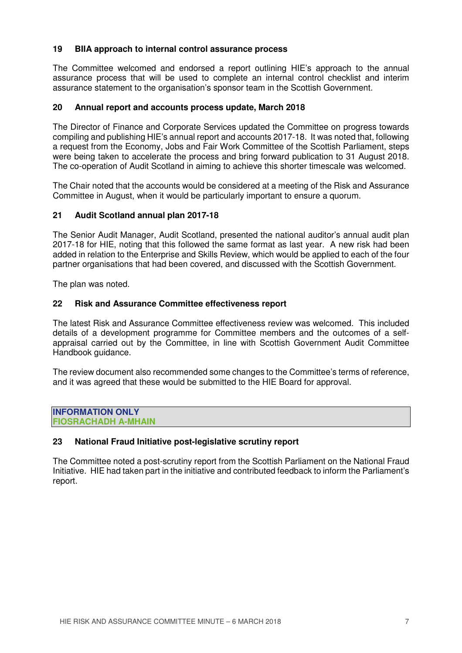### **19 BIIA approach to internal control assurance process**

The Committee welcomed and endorsed a report outlining HIE's approach to the annual assurance process that will be used to complete an internal control checklist and interim assurance statement to the organisation's sponsor team in the Scottish Government.

### **20 Annual report and accounts process update, March 2018**

The Director of Finance and Corporate Services updated the Committee on progress towards compiling and publishing HIE's annual report and accounts 2017-18. It was noted that, following a request from the Economy, Jobs and Fair Work Committee of the Scottish Parliament, steps were being taken to accelerate the process and bring forward publication to 31 August 2018. The co-operation of Audit Scotland in aiming to achieve this shorter timescale was welcomed.

The Chair noted that the accounts would be considered at a meeting of the Risk and Assurance Committee in August, when it would be particularly important to ensure a quorum.

#### **21 Audit Scotland annual plan 2017-18**

The Senior Audit Manager, Audit Scotland, presented the national auditor's annual audit plan 2017-18 for HIE, noting that this followed the same format as last year. A new risk had been added in relation to the Enterprise and Skills Review, which would be applied to each of the four partner organisations that had been covered, and discussed with the Scottish Government.

The plan was noted.

#### **22 Risk and Assurance Committee effectiveness report**

The latest Risk and Assurance Committee effectiveness review was welcomed. This included details of a development programme for Committee members and the outcomes of a selfappraisal carried out by the Committee, in line with Scottish Government Audit Committee Handbook guidance.

The review document also recommended some changes to the Committee's terms of reference, and it was agreed that these would be submitted to the HIE Board for approval.

**INFORMATION ONLY FIOSRACHADH A-MHAIN** 

#### **23 National Fraud Initiative post-legislative scrutiny report**

The Committee noted a post-scrutiny report from the Scottish Parliament on the National Fraud Initiative. HIE had taken part in the initiative and contributed feedback to inform the Parliament's report.